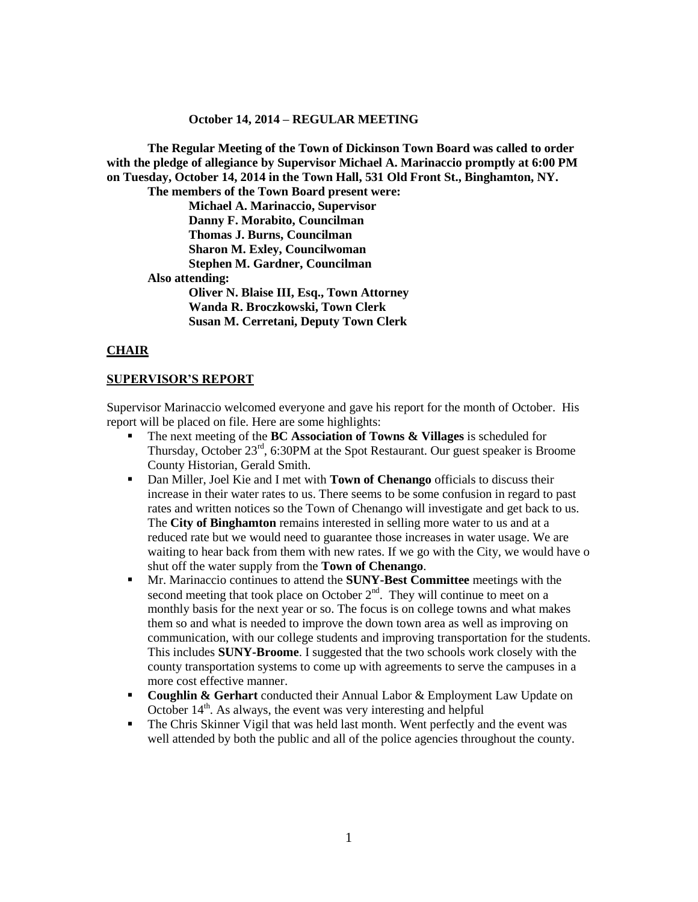#### **October 14, 2014 – REGULAR MEETING**

**The Regular Meeting of the Town of Dickinson Town Board was called to order with the pledge of allegiance by Supervisor Michael A. Marinaccio promptly at 6:00 PM on Tuesday, October 14, 2014 in the Town Hall, 531 Old Front St., Binghamton, NY. The members of the Town Board present were: Michael A. Marinaccio, Supervisor Danny F. Morabito, Councilman Thomas J. Burns, Councilman Sharon M. Exley, Councilwoman Stephen M. Gardner, Councilman Also attending: Oliver N. Blaise III, Esq., Town Attorney Wanda R. Broczkowski, Town Clerk Susan M. Cerretani, Deputy Town Clerk**

#### **CHAIR**

#### **SUPERVISOR'S REPORT**

Supervisor Marinaccio welcomed everyone and gave his report for the month of October. His report will be placed on file. Here are some highlights:

- The next meeting of the **BC Association of Towns & Villages** is scheduled for Thursday, October  $23<sup>rd</sup>$ , 6:30PM at the Spot Restaurant. Our guest speaker is Broome County Historian, Gerald Smith.
- Dan Miller, Joel Kie and I met with **Town of Chenango** officials to discuss their increase in their water rates to us. There seems to be some confusion in regard to past rates and written notices so the Town of Chenango will investigate and get back to us. The **City of Binghamton** remains interested in selling more water to us and at a reduced rate but we would need to guarantee those increases in water usage. We are waiting to hear back from them with new rates. If we go with the City, we would have o shut off the water supply from the **Town of Chenango**.
- Mr. Marinaccio continues to attend the **SUNY-Best Committee** meetings with the second meeting that took place on October  $2<sup>nd</sup>$ . They will continue to meet on a monthly basis for the next year or so. The focus is on college towns and what makes them so and what is needed to improve the down town area as well as improving on communication, with our college students and improving transportation for the students. This includes **SUNY-Broome**. I suggested that the two schools work closely with the county transportation systems to come up with agreements to serve the campuses in a more cost effective manner.
- **Coughlin & Gerhart** conducted their Annual Labor & Employment Law Update on October  $14<sup>th</sup>$ . As always, the event was very interesting and helpful
- The Chris Skinner Vigil that was held last month. Went perfectly and the event was well attended by both the public and all of the police agencies throughout the county.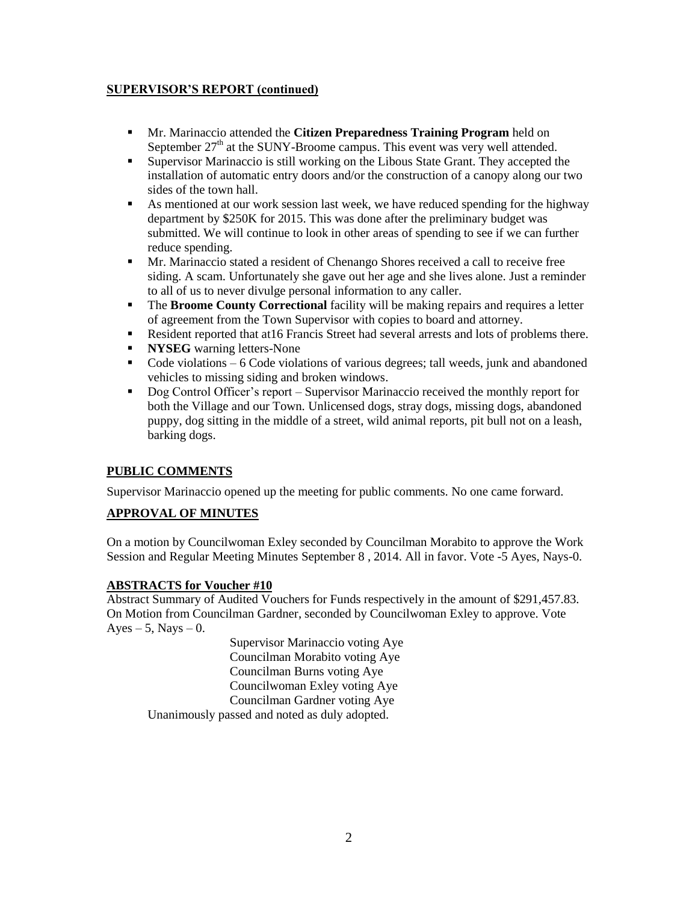### **SUPERVISOR'S REPORT (continued)**

- Mr. Marinaccio attended the **Citizen Preparedness Training Program** held on September  $27<sup>th</sup>$  at the SUNY-Broome campus. This event was very well attended.
- Supervisor Marinaccio is still working on the Libous State Grant. They accepted the installation of automatic entry doors and/or the construction of a canopy along our two sides of the town hall.
- As mentioned at our work session last week, we have reduced spending for the highway department by \$250K for 2015. This was done after the preliminary budget was submitted. We will continue to look in other areas of spending to see if we can further reduce spending.
- Mr. Marinaccio stated a resident of Chenango Shores received a call to receive free siding. A scam. Unfortunately she gave out her age and she lives alone. Just a reminder to all of us to never divulge personal information to any caller.
- The **Broome County Correctional** facility will be making repairs and requires a letter of agreement from the Town Supervisor with copies to board and attorney.
- Resident reported that at 16 Francis Street had several arrests and lots of problems there.
- **NYSEG** warning letters-None
- Code violations 6 Code violations of various degrees; tall weeds, junk and abandoned vehicles to missing siding and broken windows.
- Dog Control Officer's report Supervisor Marinaccio received the monthly report for both the Village and our Town. Unlicensed dogs, stray dogs, missing dogs, abandoned puppy, dog sitting in the middle of a street, wild animal reports, pit bull not on a leash, barking dogs.

## **PUBLIC COMMENTS**

Supervisor Marinaccio opened up the meeting for public comments. No one came forward.

## **APPROVAL OF MINUTES**

On a motion by Councilwoman Exley seconded by Councilman Morabito to approve the Work Session and Regular Meeting Minutes September 8 , 2014. All in favor. Vote -5 Ayes, Nays-0.

### **ABSTRACTS for Voucher #10**

Abstract Summary of Audited Vouchers for Funds respectively in the amount of \$291,457.83. On Motion from Councilman Gardner, seconded by Councilwoman Exley to approve. Vote  $Ayes - 5$ , Nays  $-0$ .

> Supervisor Marinaccio voting Aye Councilman Morabito voting Aye Councilman Burns voting Aye Councilwoman Exley voting Aye Councilman Gardner voting Aye

Unanimously passed and noted as duly adopted.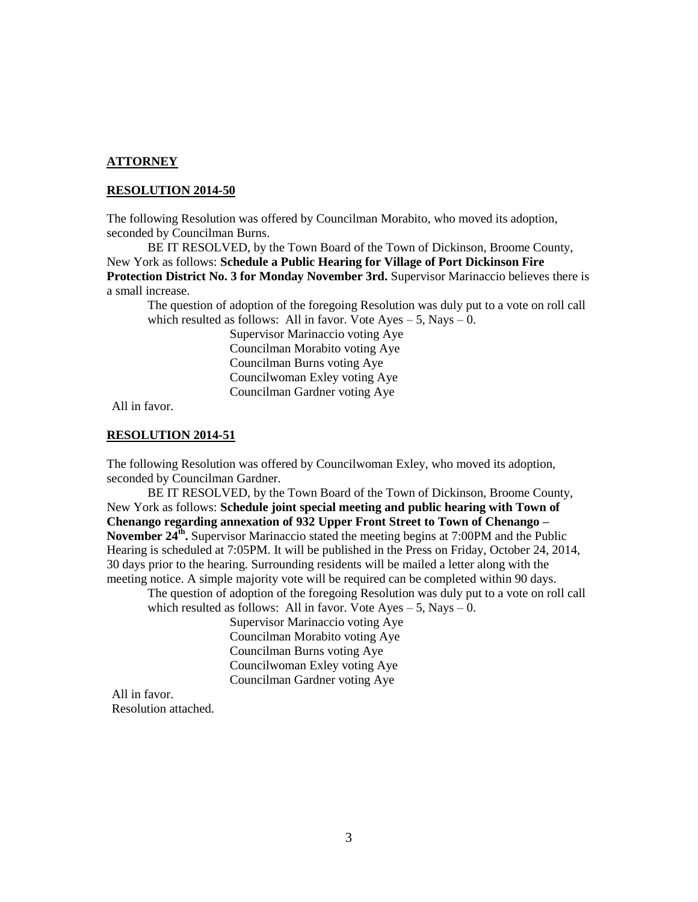#### **ATTORNEY**

#### **RESOLUTION 2014-50**

The following Resolution was offered by Councilman Morabito, who moved its adoption, seconded by Councilman Burns.

BE IT RESOLVED, by the Town Board of the Town of Dickinson, Broome County, New York as follows: **Schedule a Public Hearing for Village of Port Dickinson Fire Protection District No. 3 for Monday November 3rd.** Supervisor Marinaccio believes there is a small increase.

The question of adoption of the foregoing Resolution was duly put to a vote on roll call which resulted as follows: All in favor. Vote  $Ayes - 5$ , Nays  $- 0$ .

> Supervisor Marinaccio voting Aye Councilman Morabito voting Aye Councilman Burns voting Aye Councilwoman Exley voting Aye Councilman Gardner voting Aye

All in favor.

#### **RESOLUTION 2014-51**

The following Resolution was offered by Councilwoman Exley, who moved its adoption, seconded by Councilman Gardner.

BE IT RESOLVED, by the Town Board of the Town of Dickinson, Broome County, New York as follows: **Schedule joint special meeting and public hearing with Town of Chenango regarding annexation of 932 Upper Front Street to Town of Chenango –** November 24<sup>th</sup>. Supervisor Marinaccio stated the meeting begins at 7:00PM and the Public Hearing is scheduled at 7:05PM. It will be published in the Press on Friday, October 24, 2014, 30 days prior to the hearing. Surrounding residents will be mailed a letter along with the meeting notice. A simple majority vote will be required can be completed within 90 days.

The question of adoption of the foregoing Resolution was duly put to a vote on roll call which resulted as follows: All in favor. Vote  $Ayes - 5$ , Nays  $- 0$ .

> Supervisor Marinaccio voting Aye Councilman Morabito voting Aye Councilman Burns voting Aye Councilwoman Exley voting Aye Councilman Gardner voting Aye

All in favor. Resolution attached.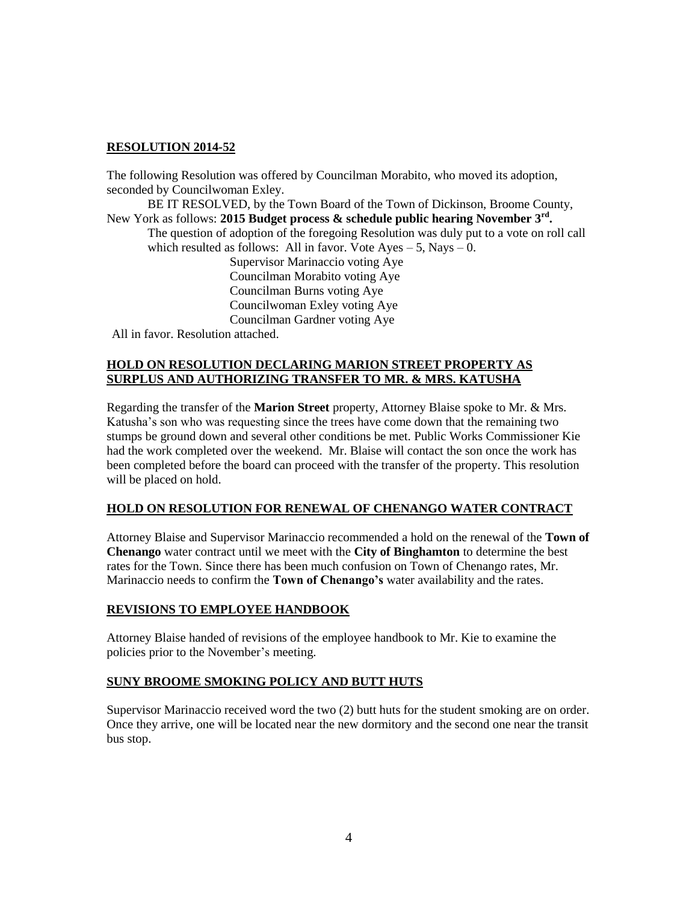## **RESOLUTION 2014-52**

The following Resolution was offered by Councilman Morabito, who moved its adoption, seconded by Councilwoman Exley.

BE IT RESOLVED, by the Town Board of the Town of Dickinson, Broome County, New York as follows: **2015 Budget process & schedule public hearing November 3rd .**

The question of adoption of the foregoing Resolution was duly put to a vote on roll call which resulted as follows: All in favor. Vote  $Ayes - 5$ , Nays  $- 0$ .

Supervisor Marinaccio voting Aye Councilman Morabito voting Aye Councilman Burns voting Aye Councilwoman Exley voting Aye Councilman Gardner voting Aye

All in favor. Resolution attached.

### **HOLD ON RESOLUTION DECLARING MARION STREET PROPERTY AS SURPLUS AND AUTHORIZING TRANSFER TO MR. & MRS. KATUSHA**

Regarding the transfer of the **Marion Street** property, Attorney Blaise spoke to Mr. & Mrs. Katusha's son who was requesting since the trees have come down that the remaining two stumps be ground down and several other conditions be met. Public Works Commissioner Kie had the work completed over the weekend. Mr. Blaise will contact the son once the work has been completed before the board can proceed with the transfer of the property. This resolution will be placed on hold.

### **HOLD ON RESOLUTION FOR RENEWAL OF CHENANGO WATER CONTRACT**

Attorney Blaise and Supervisor Marinaccio recommended a hold on the renewal of the **Town of Chenango** water contract until we meet with the **City of Binghamton** to determine the best rates for the Town. Since there has been much confusion on Town of Chenango rates, Mr. Marinaccio needs to confirm the **Town of Chenango's** water availability and the rates.

### **REVISIONS TO EMPLOYEE HANDBOOK**

Attorney Blaise handed of revisions of the employee handbook to Mr. Kie to examine the policies prior to the November's meeting.

### **SUNY BROOME SMOKING POLICY AND BUTT HUTS**

Supervisor Marinaccio received word the two (2) butt huts for the student smoking are on order. Once they arrive, one will be located near the new dormitory and the second one near the transit bus stop.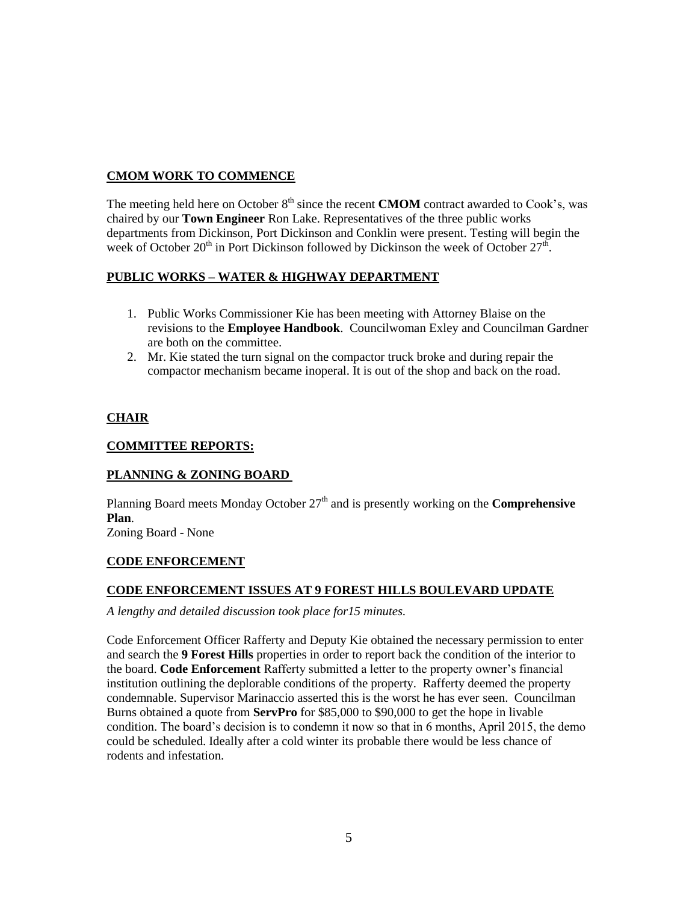## **CMOM WORK TO COMMENCE**

The meeting held here on October 8<sup>th</sup> since the recent **CMOM** contract awarded to Cook's, was chaired by our **Town Engineer** Ron Lake. Representatives of the three public works departments from Dickinson, Port Dickinson and Conklin were present. Testing will begin the week of October  $20^{th}$  in Port Dickinson followed by Dickinson the week of October  $27^{th}$ .

## **PUBLIC WORKS – WATER & HIGHWAY DEPARTMENT**

- 1. Public Works Commissioner Kie has been meeting with Attorney Blaise on the revisions to the **Employee Handbook**. Councilwoman Exley and Councilman Gardner are both on the committee.
- 2. Mr. Kie stated the turn signal on the compactor truck broke and during repair the compactor mechanism became inoperal. It is out of the shop and back on the road.

### **CHAIR**

### **COMMITTEE REPORTS:**

## **PLANNING & ZONING BOARD**

Planning Board meets Monday October  $27<sup>th</sup>$  and is presently working on the **Comprehensive Plan**.

Zoning Board - None

### **CODE ENFORCEMENT**

### **CODE ENFORCEMENT ISSUES AT 9 FOREST HILLS BOULEVARD UPDATE**

*A lengthy and detailed discussion took place for15 minutes.* 

Code Enforcement Officer Rafferty and Deputy Kie obtained the necessary permission to enter and search the **9 Forest Hills** properties in order to report back the condition of the interior to the board. **Code Enforcement** Rafferty submitted a letter to the property owner's financial institution outlining the deplorable conditions of the property. Rafferty deemed the property condemnable. Supervisor Marinaccio asserted this is the worst he has ever seen. Councilman Burns obtained a quote from **ServPro** for \$85,000 to \$90,000 to get the hope in livable condition. The board's decision is to condemn it now so that in 6 months, April 2015, the demo could be scheduled. Ideally after a cold winter its probable there would be less chance of rodents and infestation.